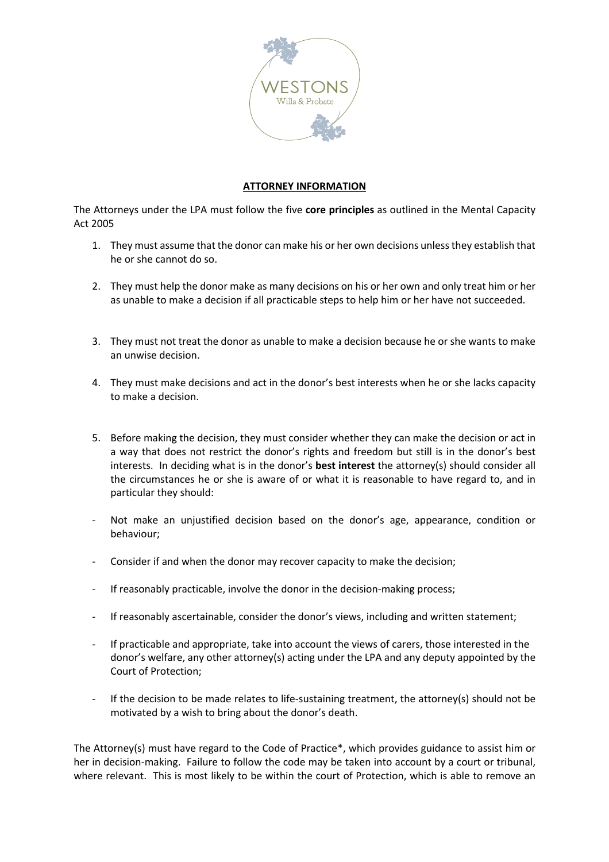

## **ATTORNEY INFORMATION**

The Attorneys under the LPA must follow the five **core principles** as outlined in the Mental Capacity Act 2005

- 1. They must assume that the donor can make his or her own decisions unless they establish that he or she cannot do so.
- 2. They must help the donor make as many decisions on his or her own and only treat him or her as unable to make a decision if all practicable steps to help him or her have not succeeded.
- 3. They must not treat the donor as unable to make a decision because he or she wants to make an unwise decision.
- 4. They must make decisions and act in the donor's best interests when he or she lacks capacity to make a decision.
- 5. Before making the decision, they must consider whether they can make the decision or act in a way that does not restrict the donor's rights and freedom but still is in the donor's best interests. In deciding what is in the donor's **best interest** the attorney(s) should consider all the circumstances he or she is aware of or what it is reasonable to have regard to, and in particular they should:
- Not make an unjustified decision based on the donor's age, appearance, condition or behaviour;
- Consider if and when the donor may recover capacity to make the decision;
- If reasonably practicable, involve the donor in the decision-making process;
- If reasonably ascertainable, consider the donor's views, including and written statement;
- If practicable and appropriate, take into account the views of carers, those interested in the donor's welfare, any other attorney(s) acting under the LPA and any deputy appointed by the Court of Protection;
- If the decision to be made relates to life-sustaining treatment, the attorney(s) should not be motivated by a wish to bring about the donor's death.

The Attorney(s) must have regard to the Code of Practice\*, which provides guidance to assist him or her in decision-making. Failure to follow the code may be taken into account by a court or tribunal, where relevant. This is most likely to be within the court of Protection, which is able to remove an